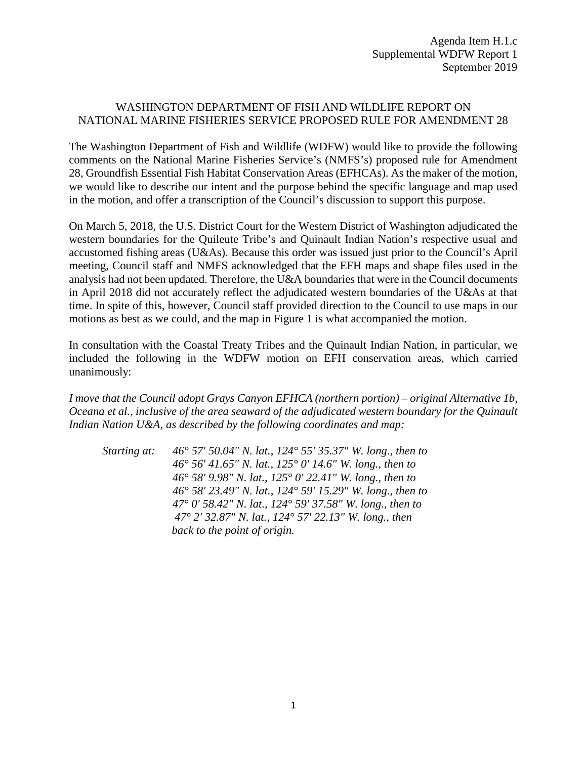## WASHINGTON DEPARTMENT OF FISH AND WILDLIFE REPORT ON NATIONAL MARINE FISHERIES SERVICE PROPOSED RULE FOR AMENDMENT 28

The Washington Department of Fish and Wildlife (WDFW) would like to provide the following comments on the National Marine Fisheries Service's (NMFS's) proposed rule for Amendment 28, Groundfish Essential Fish Habitat Conservation Areas (EFHCAs). As the maker of the motion, we would like to describe our intent and the purpose behind the specific language and map used in the motion, and offer a transcription of the Council's discussion to support this purpose.

On March 5, 2018, the U.S. District Court for the Western District of Washington adjudicated the western boundaries for the Quileute Tribe's and Quinault Indian Nation's respective usual and accustomed fishing areas (U&As). Because this order was issued just prior to the Council's April meeting, Council staff and NMFS acknowledged that the EFH maps and shape files used in the analysis had not been updated. Therefore, the U&A boundaries that were in the Council documents in April 2018 did not accurately reflect the adjudicated western boundaries of the U&As at that time. In spite of this, however, Council staff provided direction to the Council to use maps in our motions as best as we could, and the map in Figure 1 is what accompanied the motion.

In consultation with the Coastal Treaty Tribes and the Quinault Indian Nation, in particular, we included the following in the WDFW motion on EFH conservation areas, which carried unanimously:

*I move that the Council adopt Grays Canyon EFHCA (northern portion) – original Alternative 1b, Oceana et al., inclusive of the area seaward of the adjudicated western boundary for the Quinault Indian Nation U&A, as described by the following coordinates and map:* 

*Starting at: 46° 57' 50.04" N. lat., 124° 55' 35.37" W. long., then to 46° 56' 41.65" N. lat., 125° 0' 14.6" W. long., then to 46° 58' 9.98" N. lat., 125° 0' 22.41" W. long., then to 46° 58' 23.49" N. lat., 124° 59' 15.29" W. long., then to 47° 0' 58.42" N. lat., 124° 59' 37.58" W. long., then to 47° 2' 32.87" N. lat., 124° 57' 22.13" W. long., then back to the point of origin.*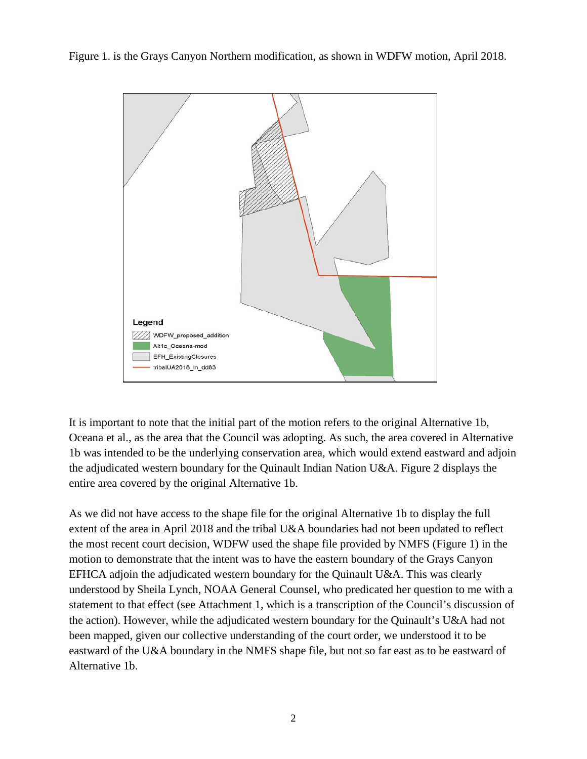Figure 1. is the Grays Canyon Northern modification, as shown in WDFW motion, April 2018.



It is important to note that the initial part of the motion refers to the original Alternative 1b, Oceana et al., as the area that the Council was adopting. As such, the area covered in Alternative 1b was intended to be the underlying conservation area, which would extend eastward and adjoin the adjudicated western boundary for the Quinault Indian Nation U&A. Figure 2 displays the entire area covered by the original Alternative 1b.

As we did not have access to the shape file for the original Alternative 1b to display the full extent of the area in April 2018 and the tribal U&A boundaries had not been updated to reflect the most recent court decision, WDFW used the shape file provided by NMFS (Figure 1) in the motion to demonstrate that the intent was to have the eastern boundary of the Grays Canyon EFHCA adjoin the adjudicated western boundary for the Quinault U&A. This was clearly understood by Sheila Lynch, NOAA General Counsel, who predicated her question to me with a statement to that effect (see Attachment 1, which is a transcription of the Council's discussion of the action). However, while the adjudicated western boundary for the Quinault's U&A had not been mapped, given our collective understanding of the court order, we understood it to be eastward of the U&A boundary in the NMFS shape file, but not so far east as to be eastward of Alternative 1b.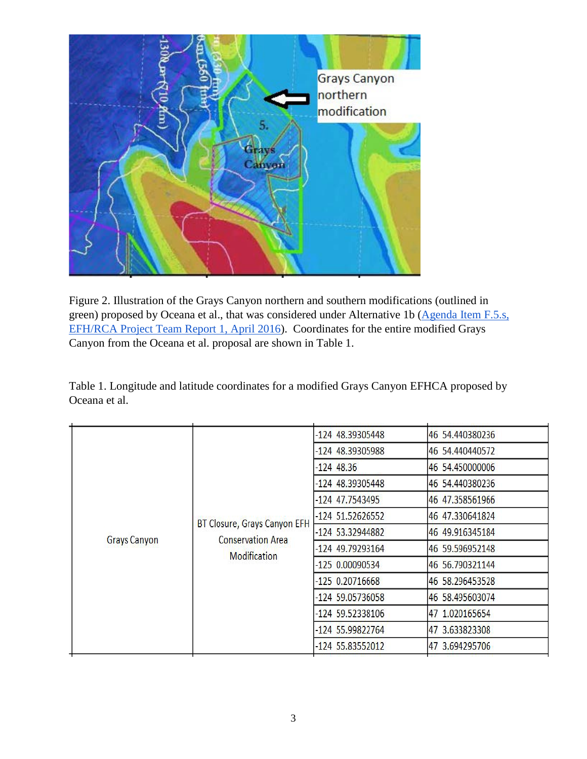

Figure 2. Illustration of the Grays Canyon northern and southern modifications (outlined in green) proposed by Oceana et al., that was considered under Alternative 1b (Agenda Item F.5.s, [EFH/RCA Project Team Report 1, April 2016\)](http://www.pcouncil.org/wp-content/uploads/2016/03/F5a_EFHandRCA_ProjectTeam_Rpt_APR2016BB.pdf). Coordinates for the entire modified Grays Canyon from the Oceana et al. proposal are shown in Table 1.

Table 1. Longitude and latitude coordinates for a modified Grays Canyon EFHCA proposed by Oceana et al.

|  | BT Closure, Grays Canyon EFH<br><b>Conservation Area</b><br><b>Grays Canyon</b><br><b>Modification</b> | -124 48.39305448  | 46 54.440380236  |                 |
|--|--------------------------------------------------------------------------------------------------------|-------------------|------------------|-----------------|
|  |                                                                                                        |                   | -124 48.39305988 | 46 54.440440572 |
|  |                                                                                                        |                   | $-124$ 48.36     | 46 54.450000006 |
|  |                                                                                                        | -124 48.39305448  | 46 54.440380236  |                 |
|  |                                                                                                        | -124 47.7543495   | 46 47.358561966  |                 |
|  |                                                                                                        |                   | -124 51.52626552 | 46 47.330641824 |
|  |                                                                                                        |                   | -124 53.32944882 | 46 49.916345184 |
|  |                                                                                                        |                   | -124 49.79293164 | 46 59.596952148 |
|  |                                                                                                        | $-1250.00090534$  | 46 56.790321144  |                 |
|  |                                                                                                        | $-125$ 0.20716668 | 46 58.296453528  |                 |
|  |                                                                                                        | -124 59.05736058  | 46 58.495603074  |                 |
|  |                                                                                                        | -124 59.52338106  | 47 1.020165654   |                 |
|  |                                                                                                        | -124 55.99822764  | 47 3.633823308   |                 |
|  |                                                                                                        | -124 55.83552012  | 47 3.694295706   |                 |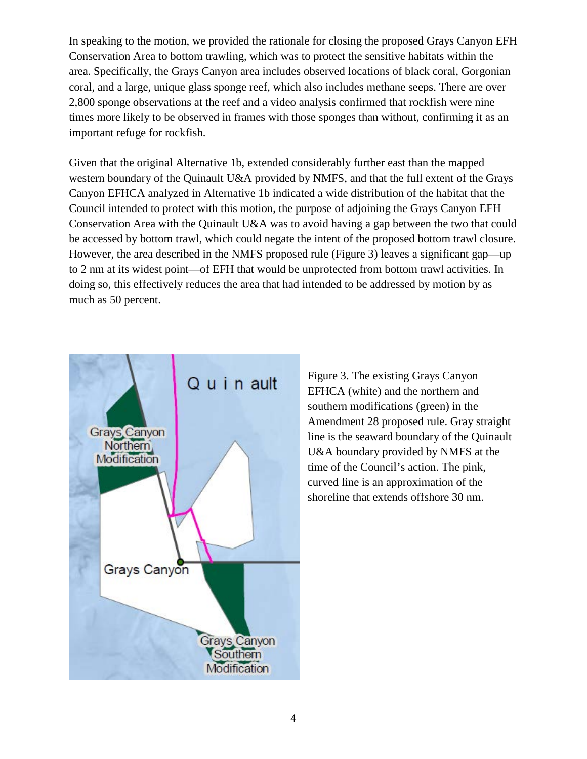In speaking to the motion, we provided the rationale for closing the proposed Grays Canyon EFH Conservation Area to bottom trawling, which was to protect the sensitive habitats within the area. Specifically, the Grays Canyon area includes observed locations of black coral, Gorgonian coral, and a large, unique glass sponge reef, which also includes methane seeps. There are over 2,800 sponge observations at the reef and a video analysis confirmed that rockfish were nine times more likely to be observed in frames with those sponges than without, confirming it as an important refuge for rockfish.

Given that the original Alternative 1b, extended considerably further east than the mapped western boundary of the Quinault U&A provided by NMFS, and that the full extent of the Grays Canyon EFHCA analyzed in Alternative 1b indicated a wide distribution of the habitat that the Council intended to protect with this motion, the purpose of adjoining the Grays Canyon EFH Conservation Area with the Quinault U&A was to avoid having a gap between the two that could be accessed by bottom trawl, which could negate the intent of the proposed bottom trawl closure. However, the area described in the NMFS proposed rule (Figure 3) leaves a significant gap—up to 2 nm at its widest point—of EFH that would be unprotected from bottom trawl activities. In doing so, this effectively reduces the area that had intended to be addressed by motion by as much as 50 percent.



Figure 3. The existing Grays Canyon EFHCA (white) and the northern and southern modifications (green) in the Amendment 28 proposed rule. Gray straight line is the seaward boundary of the Quinault U&A boundary provided by NMFS at the time of the Council's action. The pink, curved line is an approximation of the shoreline that extends offshore 30 nm.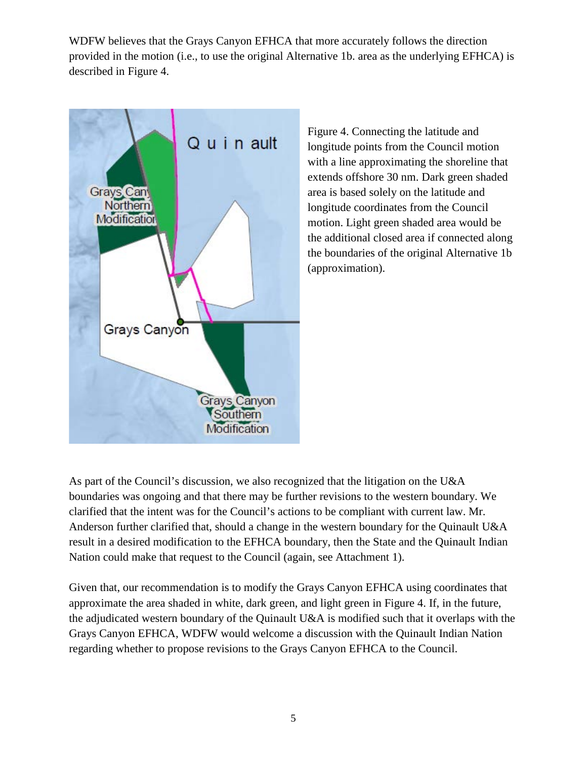WDFW believes that the Grays Canyon EFHCA that more accurately follows the direction provided in the motion (i.e., to use the original Alternative 1b. area as the underlying EFHCA) is described in Figure 4.



Figure 4. Connecting the latitude and longitude points from the Council motion with a line approximating the shoreline that extends offshore 30 nm. Dark green shaded area is based solely on the latitude and longitude coordinates from the Council motion. Light green shaded area would be the additional closed area if connected along the boundaries of the original Alternative 1b (approximation).

As part of the Council's discussion, we also recognized that the litigation on the U&A boundaries was ongoing and that there may be further revisions to the western boundary. We clarified that the intent was for the Council's actions to be compliant with current law. Mr. Anderson further clarified that, should a change in the western boundary for the Quinault U&A result in a desired modification to the EFHCA boundary, then the State and the Quinault Indian Nation could make that request to the Council (again, see Attachment 1).

Given that, our recommendation is to modify the Grays Canyon EFHCA using coordinates that approximate the area shaded in white, dark green, and light green in Figure 4. If, in the future, the adjudicated western boundary of the Quinault U&A is modified such that it overlaps with the Grays Canyon EFHCA, WDFW would welcome a discussion with the Quinault Indian Nation regarding whether to propose revisions to the Grays Canyon EFHCA to the Council.